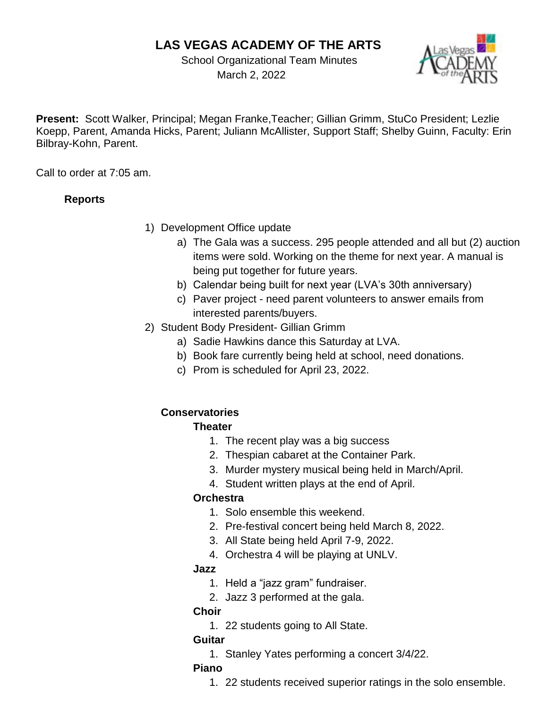# **LAS VEGAS ACADEMY OF THE ARTS**

 School Organizational Team Minutes March 2, 2022



**Present:** Scott Walker, Principal; Megan Franke,Teacher; Gillian Grimm, StuCo President; Lezlie Koepp, Parent, Amanda Hicks, Parent; Juliann McAllister, Support Staff; Shelby Guinn, Faculty: Erin Bilbray-Kohn, Parent.

Call to order at 7:05 am.

### **Reports**

- 1) Development Office update
	- a) The Gala was a success. 295 people attended and all but (2) auction items were sold. Working on the theme for next year. A manual is being put together for future years.
	- b) Calendar being built for next year (LVA's 30th anniversary)
	- c) Paver project need parent volunteers to answer emails from interested parents/buyers.
- 2) Student Body President- Gillian Grimm
	- a) Sadie Hawkins dance this Saturday at LVA.
	- b) Book fare currently being held at school, need donations.
	- c) Prom is scheduled for April 23, 2022.

## **Conservatories**

### **Theater**

- 1. The recent play was a big success
- 2. Thespian cabaret at the Container Park.
- 3. Murder mystery musical being held in March/April.
- 4. Student written plays at the end of April.

### **Orchestra**

- 1. Solo ensemble this weekend.
- 2. Pre-festival concert being held March 8, 2022.
- 3. All State being held April 7-9, 2022.
- 4. Orchestra 4 will be playing at UNLV.

### **Jazz**

- 1. Held a "jazz gram" fundraiser.
- 2. Jazz 3 performed at the gala.

### **Choir**

1. 22 students going to All State.

### **Guitar**

1. Stanley Yates performing a concert 3/4/22.

### **Piano**

1. 22 students received superior ratings in the solo ensemble.